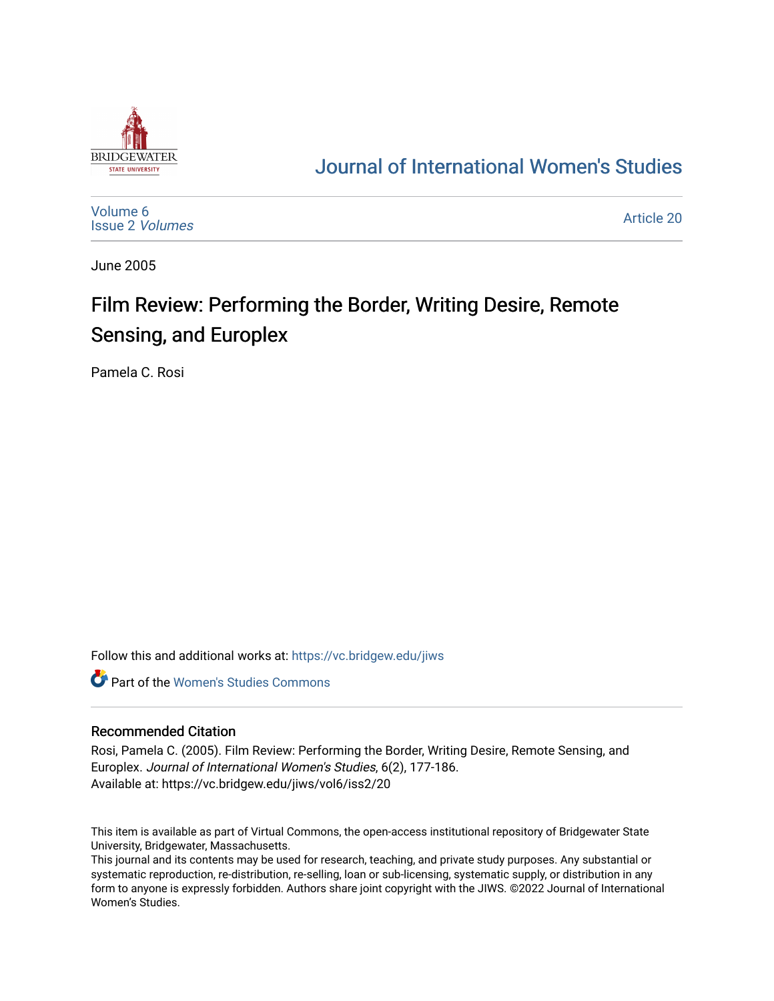

## [Journal of International Women's Studies](https://vc.bridgew.edu/jiws)

[Volume 6](https://vc.bridgew.edu/jiws/vol6) [Issue 2](https://vc.bridgew.edu/jiws/vol6/iss2) Volumes

[Article 20](https://vc.bridgew.edu/jiws/vol6/iss2/20) 

June 2005

# Film Review: Performing the Border, Writing Desire, Remote Sensing, and Europlex

Pamela C. Rosi

Follow this and additional works at: [https://vc.bridgew.edu/jiws](https://vc.bridgew.edu/jiws?utm_source=vc.bridgew.edu%2Fjiws%2Fvol6%2Fiss2%2F20&utm_medium=PDF&utm_campaign=PDFCoverPages)

**C** Part of the Women's Studies Commons

#### Recommended Citation

Rosi, Pamela C. (2005). Film Review: Performing the Border, Writing Desire, Remote Sensing, and Europlex. Journal of International Women's Studies, 6(2), 177-186. Available at: https://vc.bridgew.edu/jiws/vol6/iss2/20

This item is available as part of Virtual Commons, the open-access institutional repository of Bridgewater State University, Bridgewater, Massachusetts.

This journal and its contents may be used for research, teaching, and private study purposes. Any substantial or systematic reproduction, re-distribution, re-selling, loan or sub-licensing, systematic supply, or distribution in any form to anyone is expressly forbidden. Authors share joint copyright with the JIWS. ©2022 Journal of International Women's Studies.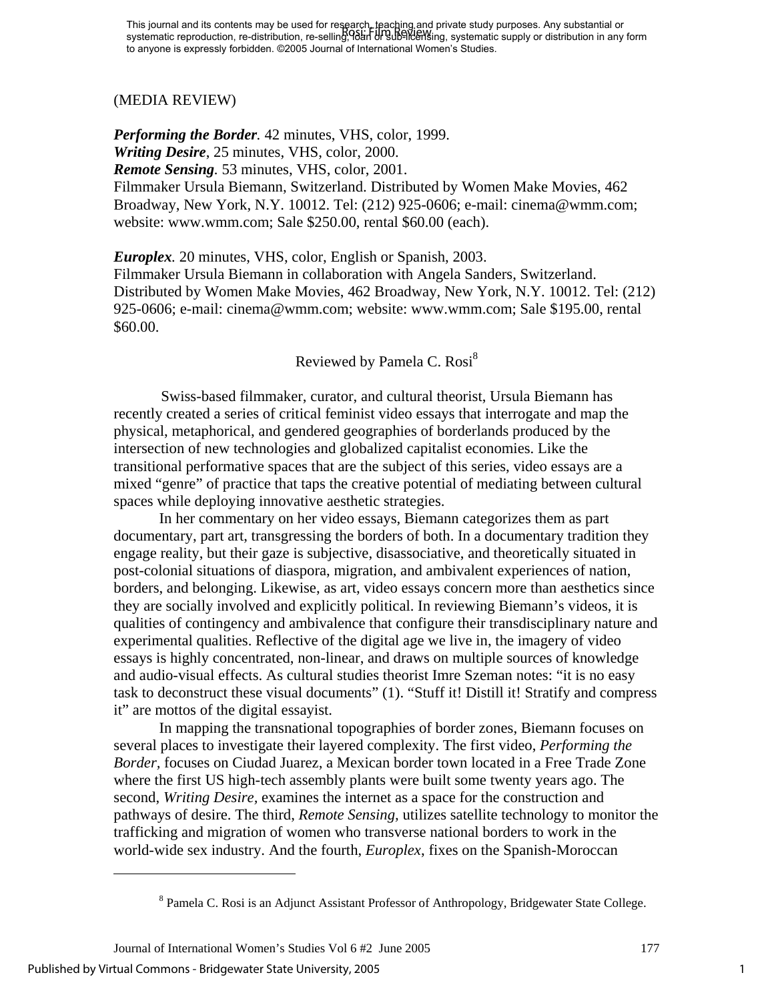#### (MEDIA REVIEW)

*Performing the Border.* 42 minutes, VHS, color, 1999. *Writing Desire*, 25 minutes, VHS, color, 2000. *Remote Sensing.* 53 minutes, VHS, color, 2001. Filmmaker Ursula Biemann, Switzerland. Distributed by Women Make Movies, 462 Broadway, New York, N.Y. 10012. Tel: (212) 925-0606; e-mail: cinema@wmm.com; website: www.wmm.com; Sale \$250.00, rental \$60.00 (each).

*Europlex.* 20 minutes, VHS, color, English or Spanish, 2003. Filmmaker Ursula Biemann in collaboration with Angela Sanders, Switzerland. Distributed by Women Make Movies, 462 Broadway, New York, N.Y. 10012. Tel: (212) 925-0606; e-mail: cinema@wmm.com; website: www.wmm.com; Sale \$195.00, rental \$60.00.

### Reviewed by Pamela C. Rosi<sup>[8](#page-1-0)</sup>

 Swiss-based filmmaker, curator, and cultural theorist, Ursula Biemann has recently created a series of critical feminist video essays that interrogate and map the physical, metaphorical, and gendered geographies of borderlands produced by the intersection of new technologies and globalized capitalist economies. Like the transitional performative spaces that are the subject of this series, video essays are a mixed "genre" of practice that taps the creative potential of mediating between cultural spaces while deploying innovative aesthetic strategies.

 In her commentary on her video essays, Biemann categorizes them as part documentary, part art, transgressing the borders of both. In a documentary tradition they engage reality, but their gaze is subjective, disassociative, and theoretically situated in post-colonial situations of diaspora, migration, and ambivalent experiences of nation, borders, and belonging. Likewise, as art, video essays concern more than aesthetics since they are socially involved and explicitly political. In reviewing Biemann's videos, it is qualities of contingency and ambivalence that configure their transdisciplinary nature and experimental qualities. Reflective of the digital age we live in, the imagery of video essays is highly concentrated, non-linear, and draws on multiple sources of knowledge and audio-visual effects. As cultural studies theorist Imre Szeman notes: "it is no easy task to deconstruct these visual documents" (1). "Stuff it! Distill it! Stratify and compress it" are mottos of the digital essayist.

 In mapping the transnational topographies of border zones, Biemann focuses on several places to investigate their layered complexity. The first video, *Performing the Border,* focuses on Ciudad Juarez, a Mexican border town located in a Free Trade Zone where the first US high-tech assembly plants were built some twenty years ago. The second, *Writing Desire,* examines the internet as a space for the construction and pathways of desire. The third, *Remote Sensing,* utilizes satellite technology to monitor the trafficking and migration of women who transverse national borders to work in the world-wide sex industry. And the fourth, *Europlex*, fixes on the Spanish-Moroccan

 $\overline{a}$ 

<span id="page-1-0"></span><sup>&</sup>lt;sup>8</sup> Pamela C. Rosi is an Adjunct Assistant Professor of Anthropology, Bridgewater State College.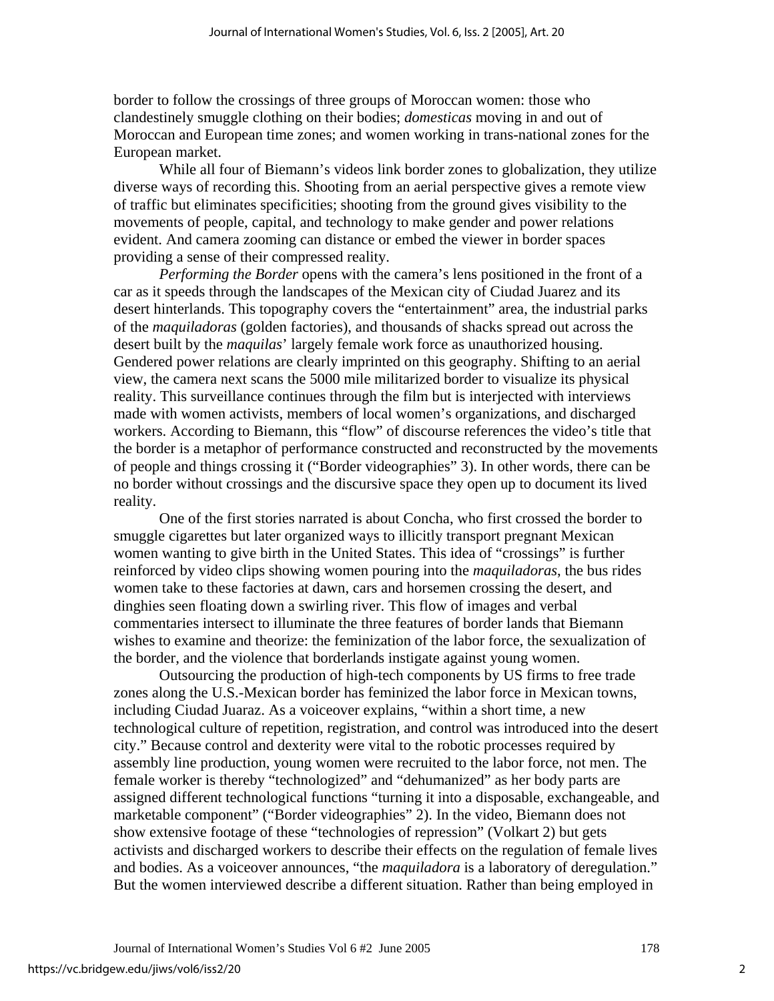border to follow the crossings of three groups of Moroccan women: those who clandestinely smuggle clothing on their bodies; *domesticas* moving in and out of Moroccan and European time zones; and women working in trans-national zones for the European market.

 While all four of Biemann's videos link border zones to globalization, they utilize diverse ways of recording this. Shooting from an aerial perspective gives a remote view of traffic but eliminates specificities; shooting from the ground gives visibility to the movements of people, capital, and technology to make gender and power relations evident. And camera zooming can distance or embed the viewer in border spaces providing a sense of their compressed reality.

 *Performing the Border* opens with the camera's lens positioned in the front of a car as it speeds through the landscapes of the Mexican city of Ciudad Juarez and its desert hinterlands. This topography covers the "entertainment" area, the industrial parks of the *maquiladoras* (golden factories), and thousands of shacks spread out across the desert built by the *maquilas*' largely female work force as unauthorized housing. Gendered power relations are clearly imprinted on this geography. Shifting to an aerial view, the camera next scans the 5000 mile militarized border to visualize its physical reality. This surveillance continues through the film but is interjected with interviews made with women activists, members of local women's organizations, and discharged workers. According to Biemann, this "flow" of discourse references the video's title that the border is a metaphor of performance constructed and reconstructed by the movements of people and things crossing it ("Border videographies" 3). In other words, there can be no border without crossings and the discursive space they open up to document its lived reality.

 One of the first stories narrated is about Concha, who first crossed the border to smuggle cigarettes but later organized ways to illicitly transport pregnant Mexican women wanting to give birth in the United States. This idea of "crossings" is further reinforced by video clips showing women pouring into the *maquiladoras*, the bus rides women take to these factories at dawn, cars and horsemen crossing the desert, and dinghies seen floating down a swirling river. This flow of images and verbal commentaries intersect to illuminate the three features of border lands that Biemann wishes to examine and theorize: the feminization of the labor force, the sexualization of the border, and the violence that borderlands instigate against young women.

 Outsourcing the production of high-tech components by US firms to free trade zones along the U.S.-Mexican border has feminized the labor force in Mexican towns, including Ciudad Juaraz. As a voiceover explains, "within a short time, a new technological culture of repetition, registration, and control was introduced into the desert city." Because control and dexterity were vital to the robotic processes required by assembly line production, young women were recruited to the labor force, not men. The female worker is thereby "technologized" and "dehumanized" as her body parts are assigned different technological functions "turning it into a disposable, exchangeable, and marketable component" ("Border videographies" 2). In the video, Biemann does not show extensive footage of these "technologies of repression" (Volkart 2) but gets activists and discharged workers to describe their effects on the regulation of female lives and bodies. As a voiceover announces, "the *maquiladora* is a laboratory of deregulation." But the women interviewed describe a different situation. Rather than being employed in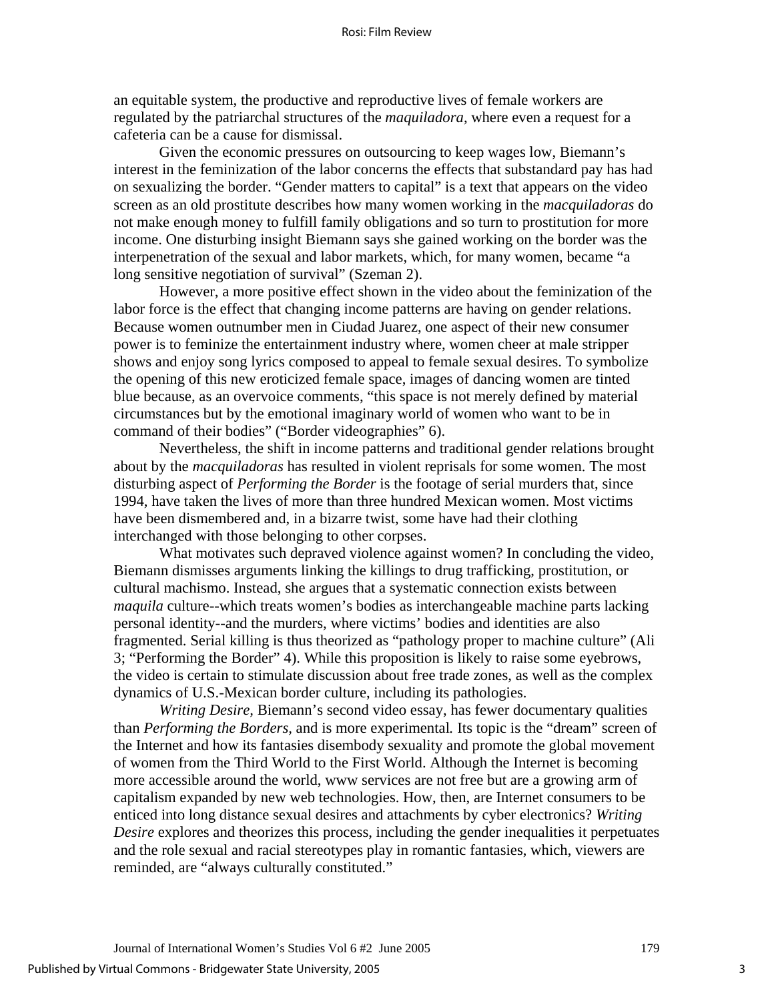an equitable system, the productive and reproductive lives of female workers are regulated by the patriarchal structures of the *maquiladora*, where even a request for a cafeteria can be a cause for dismissal.

 Given the economic pressures on outsourcing to keep wages low, Biemann's interest in the feminization of the labor concerns the effects that substandard pay has had on sexualizing the border. "Gender matters to capital" is a text that appears on the video screen as an old prostitute describes how many women working in the *macquiladoras* do not make enough money to fulfill family obligations and so turn to prostitution for more income. One disturbing insight Biemann says she gained working on the border was the interpenetration of the sexual and labor markets, which, for many women, became "a long sensitive negotiation of survival" (Szeman 2).

 However, a more positive effect shown in the video about the feminization of the labor force is the effect that changing income patterns are having on gender relations. Because women outnumber men in Ciudad Juarez, one aspect of their new consumer power is to feminize the entertainment industry where, women cheer at male stripper shows and enjoy song lyrics composed to appeal to female sexual desires. To symbolize the opening of this new eroticized female space, images of dancing women are tinted blue because, as an overvoice comments, "this space is not merely defined by material circumstances but by the emotional imaginary world of women who want to be in command of their bodies" ("Border videographies" 6).

 Nevertheless, the shift in income patterns and traditional gender relations brought about by the *macquiladoras* has resulted in violent reprisals for some women. The most disturbing aspect of *Performing the Border* is the footage of serial murders that, since 1994, have taken the lives of more than three hundred Mexican women. Most victims have been dismembered and, in a bizarre twist, some have had their clothing interchanged with those belonging to other corpses.

 What motivates such depraved violence against women? In concluding the video, Biemann dismisses arguments linking the killings to drug trafficking, prostitution, or cultural machismo. Instead, she argues that a systematic connection exists between *maquila* culture--which treats women's bodies as interchangeable machine parts lacking personal identity--and the murders, where victims' bodies and identities are also fragmented. Serial killing is thus theorized as "pathology proper to machine culture" (Ali 3; "Performing the Border" 4). While this proposition is likely to raise some eyebrows, the video is certain to stimulate discussion about free trade zones, as well as the complex dynamics of U.S.-Mexican border culture, including its pathologies.

 *Writing Desire,* Biemann's second video essay, has fewer documentary qualities than *Performing the Borders,* and is more experimental*.* Its topic is the "dream" screen of the Internet and how its fantasies disembody sexuality and promote the global movement of women from the Third World to the First World. Although the Internet is becoming more accessible around the world, www services are not free but are a growing arm of capitalism expanded by new web technologies. How, then, are Internet consumers to be enticed into long distance sexual desires and attachments by cyber electronics? *Writing Desire* explores and theorizes this process, including the gender inequalities it perpetuates and the role sexual and racial stereotypes play in romantic fantasies, which, viewers are reminded, are "always culturally constituted."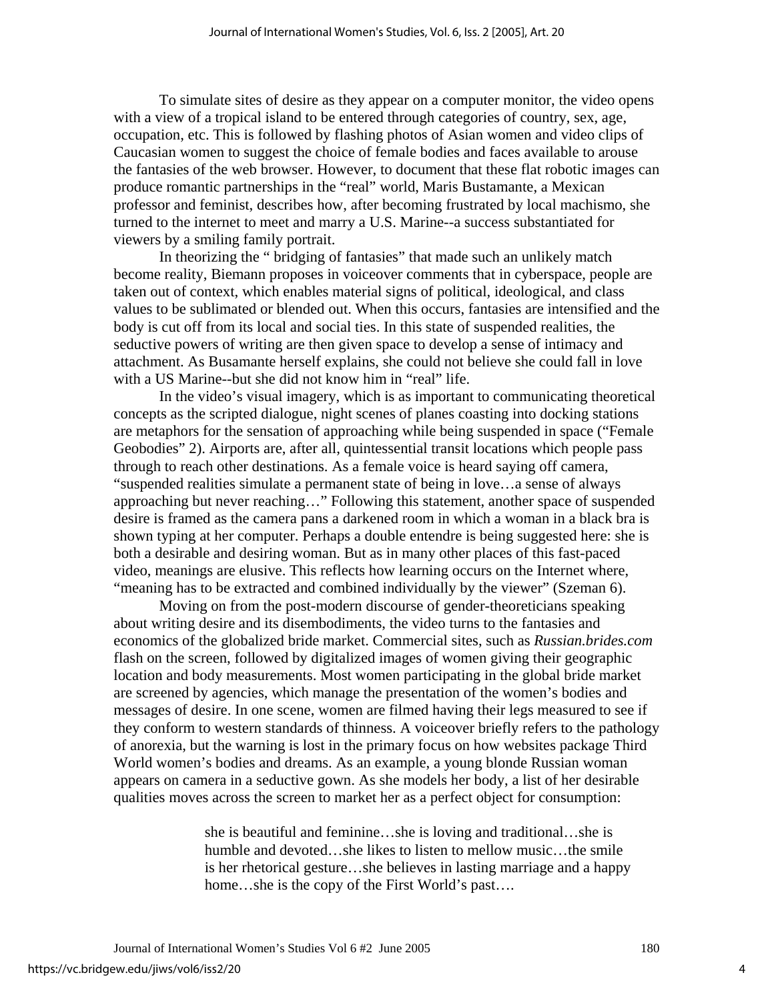To simulate sites of desire as they appear on a computer monitor, the video opens with a view of a tropical island to be entered through categories of country, sex, age, occupation, etc. This is followed by flashing photos of Asian women and video clips of Caucasian women to suggest the choice of female bodies and faces available to arouse the fantasies of the web browser. However, to document that these flat robotic images can produce romantic partnerships in the "real" world, Maris Bustamante, a Mexican professor and feminist, describes how, after becoming frustrated by local machismo, she turned to the internet to meet and marry a U.S. Marine--a success substantiated for viewers by a smiling family portrait.

 In theorizing the " bridging of fantasies" that made such an unlikely match become reality, Biemann proposes in voiceover comments that in cyberspace, people are taken out of context, which enables material signs of political, ideological, and class values to be sublimated or blended out. When this occurs, fantasies are intensified and the body is cut off from its local and social ties. In this state of suspended realities, the seductive powers of writing are then given space to develop a sense of intimacy and attachment. As Busamante herself explains, she could not believe she could fall in love with a US Marine--but she did not know him in "real" life.

 In the video's visual imagery, which is as important to communicating theoretical concepts as the scripted dialogue, night scenes of planes coasting into docking stations are metaphors for the sensation of approaching while being suspended in space ("Female Geobodies" 2). Airports are, after all, quintessential transit locations which people pass through to reach other destinations. As a female voice is heard saying off camera, "suspended realities simulate a permanent state of being in love…a sense of always approaching but never reaching…" Following this statement, another space of suspended desire is framed as the camera pans a darkened room in which a woman in a black bra is shown typing at her computer. Perhaps a double entendre is being suggested here: she is both a desirable and desiring woman. But as in many other places of this fast-paced video, meanings are elusive. This reflects how learning occurs on the Internet where, "meaning has to be extracted and combined individually by the viewer" (Szeman 6).

 Moving on from the post-modern discourse of gender-theoreticians speaking about writing desire and its disembodiments, the video turns to the fantasies and economics of the globalized bride market. Commercial sites, such as *Russian.brides.com* flash on the screen, followed by digitalized images of women giving their geographic location and body measurements. Most women participating in the global bride market are screened by agencies, which manage the presentation of the women's bodies and messages of desire. In one scene, women are filmed having their legs measured to see if they conform to western standards of thinness. A voiceover briefly refers to the pathology of anorexia, but the warning is lost in the primary focus on how websites package Third World women's bodies and dreams. As an example, a young blonde Russian woman appears on camera in a seductive gown. As she models her body, a list of her desirable qualities moves across the screen to market her as a perfect object for consumption:

> she is beautiful and feminine…she is loving and traditional…she is humble and devoted…she likes to listen to mellow music…the smile is her rhetorical gesture…she believes in lasting marriage and a happy home...she is the copy of the First World's past....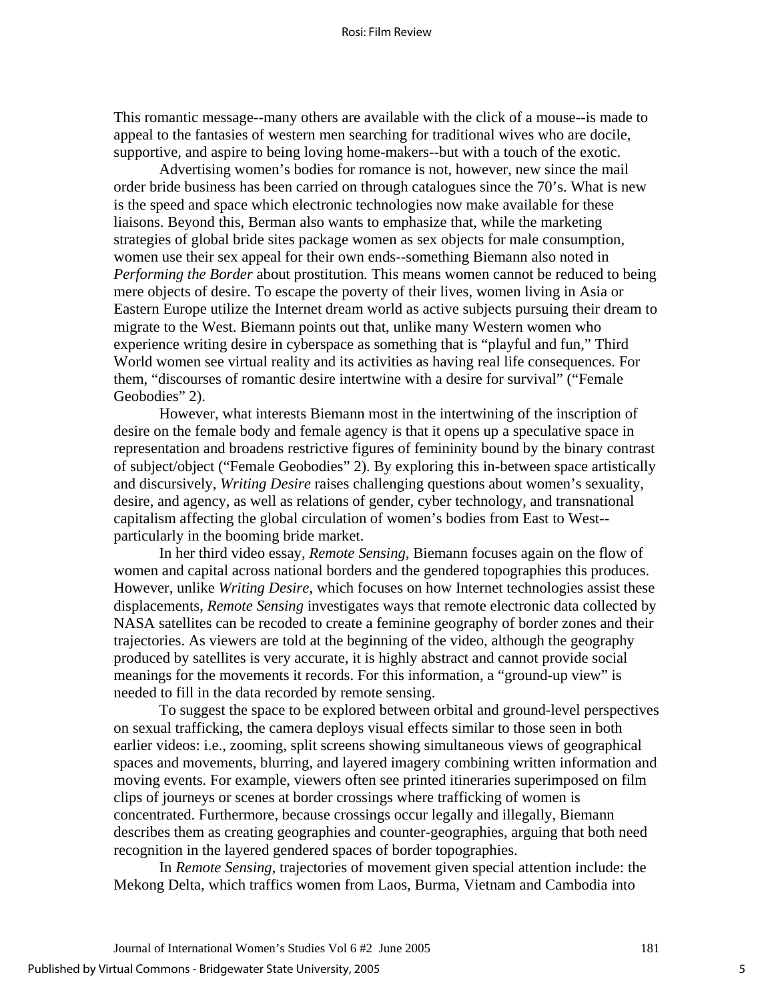This romantic message--many others are available with the click of a mouse--is made to appeal to the fantasies of western men searching for traditional wives who are docile, supportive, and aspire to being loving home-makers--but with a touch of the exotic.

 Advertising women's bodies for romance is not, however, new since the mail order bride business has been carried on through catalogues since the 70's. What is new is the speed and space which electronic technologies now make available for these liaisons. Beyond this, Berman also wants to emphasize that, while the marketing strategies of global bride sites package women as sex objects for male consumption, women use their sex appeal for their own ends--something Biemann also noted in *Performing the Border* about prostitution*.* This means women cannot be reduced to being mere objects of desire. To escape the poverty of their lives, women living in Asia or Eastern Europe utilize the Internet dream world as active subjects pursuing their dream to migrate to the West. Biemann points out that, unlike many Western women who experience writing desire in cyberspace as something that is "playful and fun," Third World women see virtual reality and its activities as having real life consequences. For them, "discourses of romantic desire intertwine with a desire for survival" ("Female Geobodies" 2).

 However, what interests Biemann most in the intertwining of the inscription of desire on the female body and female agency is that it opens up a speculative space in representation and broadens restrictive figures of femininity bound by the binary contrast of subject/object ("Female Geobodies" 2). By exploring this in-between space artistically and discursively, *Writing Desire* raises challenging questions about women's sexuality, desire, and agency, as well as relations of gender, cyber technology, and transnational capitalism affecting the global circulation of women's bodies from East to West- particularly in the booming bride market.

 In her third video essay, *Remote Sensing,* Biemann focuses again on the flow of women and capital across national borders and the gendered topographies this produces. However, unlike *Writing Desire*, which focuses on how Internet technologies assist these displacements, *Remote Sensing* investigates ways that remote electronic data collected by NASA satellites can be recoded to create a feminine geography of border zones and their trajectories. As viewers are told at the beginning of the video, although the geography produced by satellites is very accurate, it is highly abstract and cannot provide social meanings for the movements it records. For this information, a "ground-up view" is needed to fill in the data recorded by remote sensing.

 To suggest the space to be explored between orbital and ground-level perspectives on sexual trafficking, the camera deploys visual effects similar to those seen in both earlier videos: i.e., zooming, split screens showing simultaneous views of geographical spaces and movements, blurring, and layered imagery combining written information and moving events. For example, viewers often see printed itineraries superimposed on film clips of journeys or scenes at border crossings where trafficking of women is concentrated. Furthermore, because crossings occur legally and illegally, Biemann describes them as creating geographies and counter-geographies, arguing that both need recognition in the layered gendered spaces of border topographies.

 In *Remote Sensing*, trajectories of movement given special attention include: the Mekong Delta, which traffics women from Laos, Burma, Vietnam and Cambodia into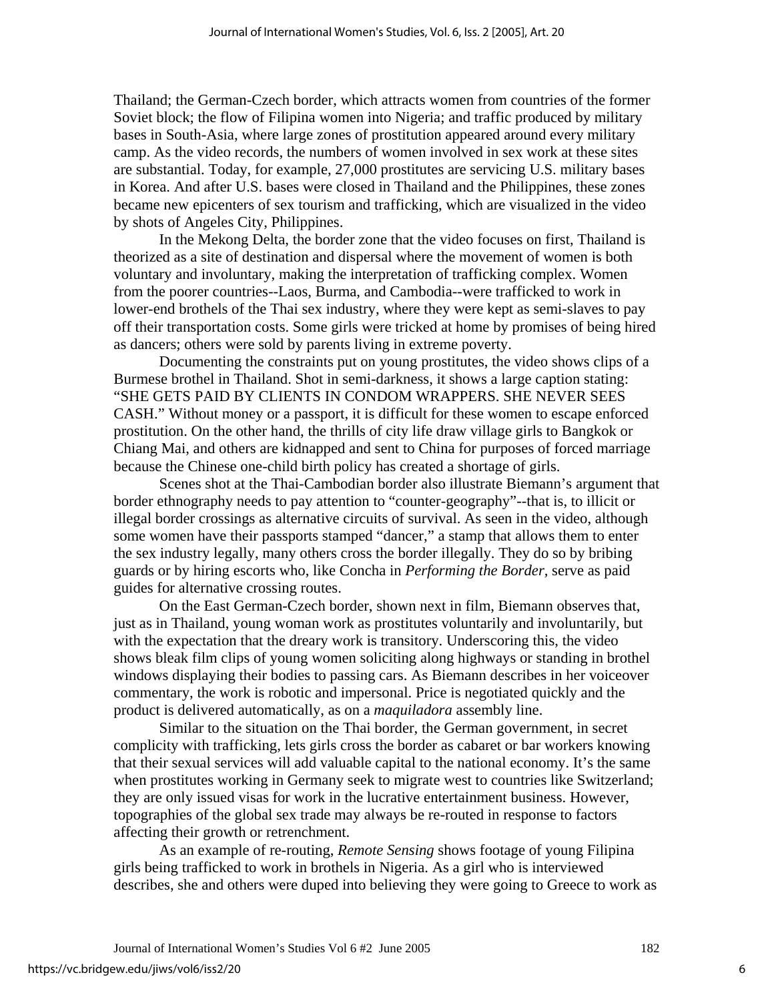Thailand; the German-Czech border, which attracts women from countries of the former Soviet block; the flow of Filipina women into Nigeria; and traffic produced by military bases in South-Asia, where large zones of prostitution appeared around every military camp. As the video records, the numbers of women involved in sex work at these sites are substantial. Today, for example, 27,000 prostitutes are servicing U.S. military bases in Korea. And after U.S. bases were closed in Thailand and the Philippines, these zones became new epicenters of sex tourism and trafficking, which are visualized in the video by shots of Angeles City, Philippines.

 In the Mekong Delta, the border zone that the video focuses on first, Thailand is theorized as a site of destination and dispersal where the movement of women is both voluntary and involuntary, making the interpretation of trafficking complex. Women from the poorer countries--Laos, Burma, and Cambodia--were trafficked to work in lower-end brothels of the Thai sex industry, where they were kept as semi-slaves to pay off their transportation costs. Some girls were tricked at home by promises of being hired as dancers; others were sold by parents living in extreme poverty.

 Documenting the constraints put on young prostitutes, the video shows clips of a Burmese brothel in Thailand. Shot in semi-darkness, it shows a large caption stating: "SHE GETS PAID BY CLIENTS IN CONDOM WRAPPERS. SHE NEVER SEES CASH." Without money or a passport, it is difficult for these women to escape enforced prostitution. On the other hand, the thrills of city life draw village girls to Bangkok or Chiang Mai, and others are kidnapped and sent to China for purposes of forced marriage because the Chinese one-child birth policy has created a shortage of girls.

 Scenes shot at the Thai-Cambodian border also illustrate Biemann's argument that border ethnography needs to pay attention to "counter-geography"--that is, to illicit or illegal border crossings as alternative circuits of survival. As seen in the video, although some women have their passports stamped "dancer," a stamp that allows them to enter the sex industry legally, many others cross the border illegally. They do so by bribing guards or by hiring escorts who, like Concha in *Performing the Border,* serve as paid guides for alternative crossing routes.

 On the East German-Czech border, shown next in film, Biemann observes that, just as in Thailand, young woman work as prostitutes voluntarily and involuntarily, but with the expectation that the dreary work is transitory. Underscoring this, the video shows bleak film clips of young women soliciting along highways or standing in brothel windows displaying their bodies to passing cars. As Biemann describes in her voiceover commentary, the work is robotic and impersonal. Price is negotiated quickly and the product is delivered automatically, as on a *maquiladora* assembly line.

 Similar to the situation on the Thai border, the German government, in secret complicity with trafficking, lets girls cross the border as cabaret or bar workers knowing that their sexual services will add valuable capital to the national economy. It's the same when prostitutes working in Germany seek to migrate west to countries like Switzerland; they are only issued visas for work in the lucrative entertainment business. However, topographies of the global sex trade may always be re-routed in response to factors affecting their growth or retrenchment.

 As an example of re-routing, *Remote Sensing* shows footage of young Filipina girls being trafficked to work in brothels in Nigeria. As a girl who is interviewed describes, she and others were duped into believing they were going to Greece to work as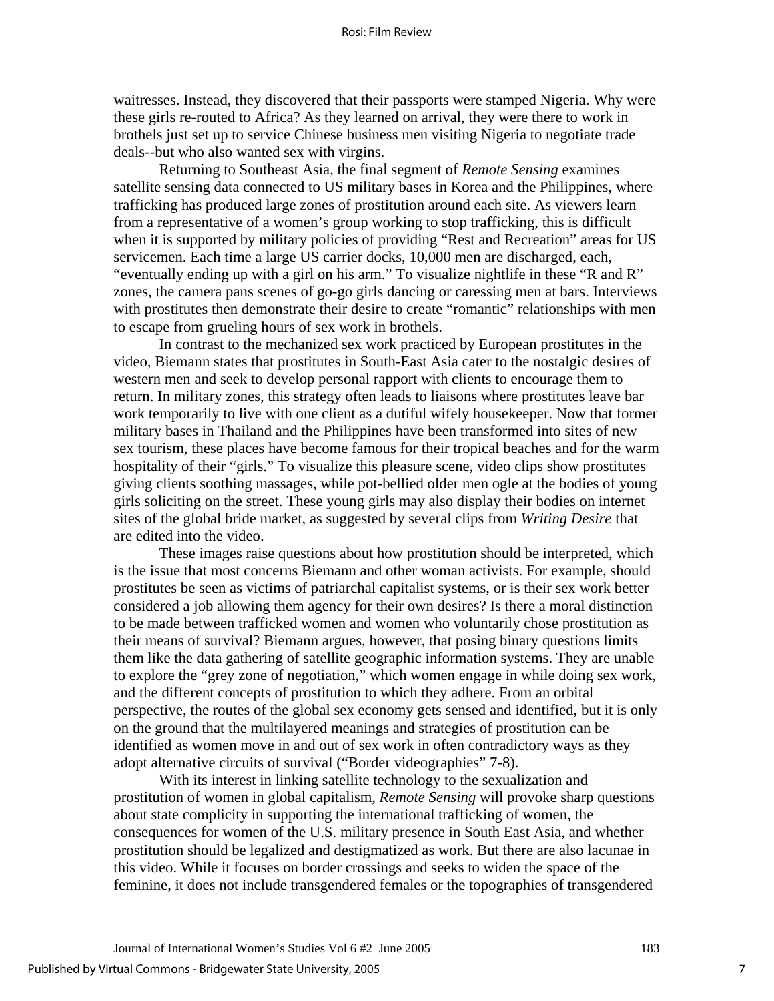waitresses. Instead, they discovered that their passports were stamped Nigeria. Why were these girls re-routed to Africa? As they learned on arrival, they were there to work in brothels just set up to service Chinese business men visiting Nigeria to negotiate trade deals--but who also wanted sex with virgins.

 Returning to Southeast Asia, the final segment of *Remote Sensing* examines satellite sensing data connected to US military bases in Korea and the Philippines, where trafficking has produced large zones of prostitution around each site. As viewers learn from a representative of a women's group working to stop trafficking, this is difficult when it is supported by military policies of providing "Rest and Recreation" areas for US servicemen. Each time a large US carrier docks, 10,000 men are discharged, each, "eventually ending up with a girl on his arm." To visualize nightlife in these "R and R" zones, the camera pans scenes of go-go girls dancing or caressing men at bars. Interviews with prostitutes then demonstrate their desire to create "romantic" relationships with men to escape from grueling hours of sex work in brothels.

 In contrast to the mechanized sex work practiced by European prostitutes in the video, Biemann states that prostitutes in South-East Asia cater to the nostalgic desires of western men and seek to develop personal rapport with clients to encourage them to return. In military zones, this strategy often leads to liaisons where prostitutes leave bar work temporarily to live with one client as a dutiful wifely housekeeper. Now that former military bases in Thailand and the Philippines have been transformed into sites of new sex tourism, these places have become famous for their tropical beaches and for the warm hospitality of their "girls." To visualize this pleasure scene, video clips show prostitutes giving clients soothing massages, while pot-bellied older men ogle at the bodies of young girls soliciting on the street. These young girls may also display their bodies on internet sites of the global bride market, as suggested by several clips from *Writing Desire* that are edited into the video.

 These images raise questions about how prostitution should be interpreted, which is the issue that most concerns Biemann and other woman activists. For example, should prostitutes be seen as victims of patriarchal capitalist systems, or is their sex work better considered a job allowing them agency for their own desires? Is there a moral distinction to be made between trafficked women and women who voluntarily chose prostitution as their means of survival? Biemann argues, however, that posing binary questions limits them like the data gathering of satellite geographic information systems. They are unable to explore the "grey zone of negotiation," which women engage in while doing sex work, and the different concepts of prostitution to which they adhere. From an orbital perspective, the routes of the global sex economy gets sensed and identified, but it is only on the ground that the multilayered meanings and strategies of prostitution can be identified as women move in and out of sex work in often contradictory ways as they adopt alternative circuits of survival ("Border videographies" 7-8).

 With its interest in linking satellite technology to the sexualization and prostitution of women in global capitalism, *Remote Sensing* will provoke sharp questions about state complicity in supporting the international trafficking of women, the consequences for women of the U.S. military presence in South East Asia, and whether prostitution should be legalized and destigmatized as work. But there are also lacunae in this video. While it focuses on border crossings and seeks to widen the space of the feminine, it does not include transgendered females or the topographies of transgendered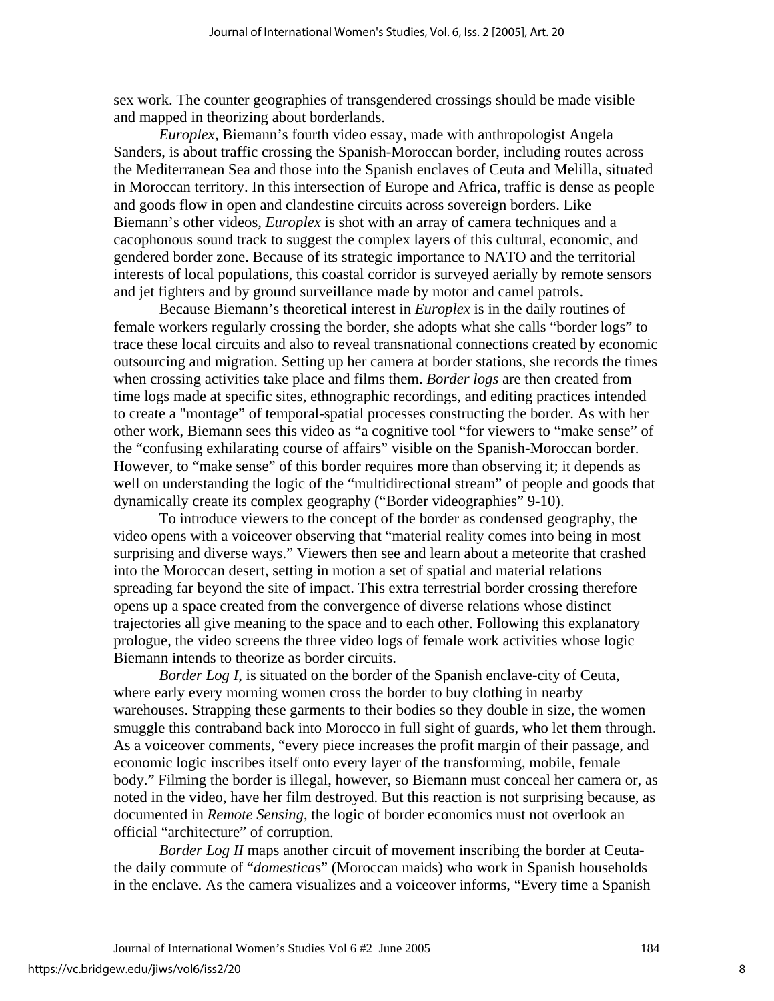sex work. The counter geographies of transgendered crossings should be made visible and mapped in theorizing about borderlands.

 *Europlex,* Biemann's fourth video essay, made with anthropologist Angela Sanders, is about traffic crossing the Spanish-Moroccan border, including routes across the Mediterranean Sea and those into the Spanish enclaves of Ceuta and Melilla, situated in Moroccan territory. In this intersection of Europe and Africa, traffic is dense as people and goods flow in open and clandestine circuits across sovereign borders. Like Biemann's other videos, *Europlex* is shot with an array of camera techniques and a cacophonous sound track to suggest the complex layers of this cultural, economic, and gendered border zone. Because of its strategic importance to NATO and the territorial interests of local populations, this coastal corridor is surveyed aerially by remote sensors and jet fighters and by ground surveillance made by motor and camel patrols.

 Because Biemann's theoretical interest in *Europlex* is in the daily routines of female workers regularly crossing the border, she adopts what she calls "border logs" to trace these local circuits and also to reveal transnational connections created by economic outsourcing and migration. Setting up her camera at border stations, she records the times when crossing activities take place and films them. *Border logs* are then created from time logs made at specific sites, ethnographic recordings, and editing practices intended to create a "montage" of temporal-spatial processes constructing the border. As with her other work, Biemann sees this video as "a cognitive tool "for viewers to "make sense" of the "confusing exhilarating course of affairs" visible on the Spanish-Moroccan border. However, to "make sense" of this border requires more than observing it; it depends as well on understanding the logic of the "multidirectional stream" of people and goods that dynamically create its complex geography ("Border videographies" 9-10).

 To introduce viewers to the concept of the border as condensed geography, the video opens with a voiceover observing that "material reality comes into being in most surprising and diverse ways." Viewers then see and learn about a meteorite that crashed into the Moroccan desert, setting in motion a set of spatial and material relations spreading far beyond the site of impact. This extra terrestrial border crossing therefore opens up a space created from the convergence of diverse relations whose distinct trajectories all give meaning to the space and to each other. Following this explanatory prologue, the video screens the three video logs of female work activities whose logic Biemann intends to theorize as border circuits.

*Border Log I*, is situated on the border of the Spanish enclave-city of Ceuta, where early every morning women cross the border to buy clothing in nearby warehouses. Strapping these garments to their bodies so they double in size, the women smuggle this contraband back into Morocco in full sight of guards, who let them through. As a voiceover comments, "every piece increases the profit margin of their passage, and economic logic inscribes itself onto every layer of the transforming, mobile, female body." Filming the border is illegal, however, so Biemann must conceal her camera or, as noted in the video, have her film destroyed. But this reaction is not surprising because, as documented in *Remote Sensing*, the logic of border economics must not overlook an official "architecture" of corruption.

 *Border Log II* maps another circuit of movement inscribing the border at Ceutathe daily commute of "*domestica*s" (Moroccan maids) who work in Spanish households in the enclave. As the camera visualizes and a voiceover informs, "Every time a Spanish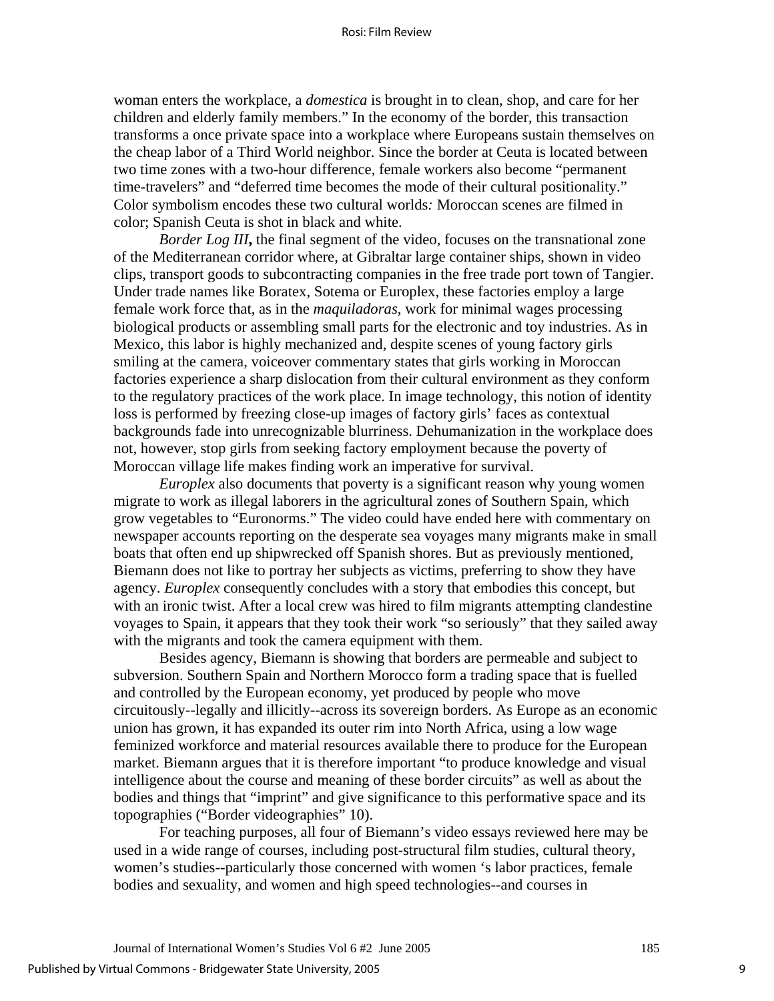woman enters the workplace, a *domestica* is brought in to clean, shop, and care for her children and elderly family members." In the economy of the border, this transaction transforms a once private space into a workplace where Europeans sustain themselves on the cheap labor of a Third World neighbor. Since the border at Ceuta is located between two time zones with a two-hour difference, female workers also become "permanent time-travelers" and "deferred time becomes the mode of their cultural positionality." Color symbolism encodes these two cultural worlds*:* Moroccan scenes are filmed in color; Spanish Ceuta is shot in black and white.

*Border Log III*, the final segment of the video, focuses on the transnational zone of the Mediterranean corridor where, at Gibraltar large container ships, shown in video clips, transport goods to subcontracting companies in the free trade port town of Tangier. Under trade names like Boratex, Sotema or Europlex, these factories employ a large female work force that, as in the *maquiladoras*, work for minimal wages processing biological products or assembling small parts for the electronic and toy industries. As in Mexico, this labor is highly mechanized and, despite scenes of young factory girls smiling at the camera, voiceover commentary states that girls working in Moroccan factories experience a sharp dislocation from their cultural environment as they conform to the regulatory practices of the work place. In image technology, this notion of identity loss is performed by freezing close-up images of factory girls' faces as contextual backgrounds fade into unrecognizable blurriness. Dehumanization in the workplace does not, however, stop girls from seeking factory employment because the poverty of Moroccan village life makes finding work an imperative for survival.

*Europlex* also documents that poverty is a significant reason why young women migrate to work as illegal laborers in the agricultural zones of Southern Spain, which grow vegetables to "Euronorms." The video could have ended here with commentary on newspaper accounts reporting on the desperate sea voyages many migrants make in small boats that often end up shipwrecked off Spanish shores. But as previously mentioned, Biemann does not like to portray her subjects as victims, preferring to show they have agency. *Europlex* consequently concludes with a story that embodies this concept, but with an ironic twist. After a local crew was hired to film migrants attempting clandestine voyages to Spain, it appears that they took their work "so seriously" that they sailed away with the migrants and took the camera equipment with them.

 Besides agency, Biemann is showing that borders are permeable and subject to subversion. Southern Spain and Northern Morocco form a trading space that is fuelled and controlled by the European economy, yet produced by people who move circuitously--legally and illicitly--across its sovereign borders. As Europe as an economic union has grown, it has expanded its outer rim into North Africa, using a low wage feminized workforce and material resources available there to produce for the European market. Biemann argues that it is therefore important "to produce knowledge and visual intelligence about the course and meaning of these border circuits" as well as about the bodies and things that "imprint" and give significance to this performative space and its topographies ("Border videographies" 10).

 For teaching purposes, all four of Biemann's video essays reviewed here may be used in a wide range of courses, including post-structural film studies, cultural theory, women's studies--particularly those concerned with women 's labor practices, female bodies and sexuality, and women and high speed technologies--and courses in